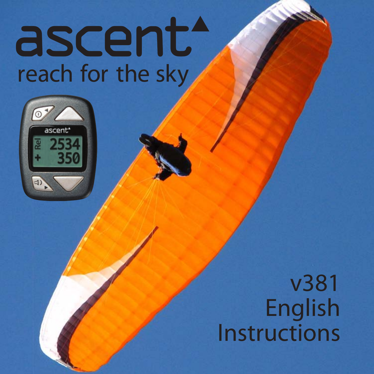# ascent reach for the sky



v381 English Instructions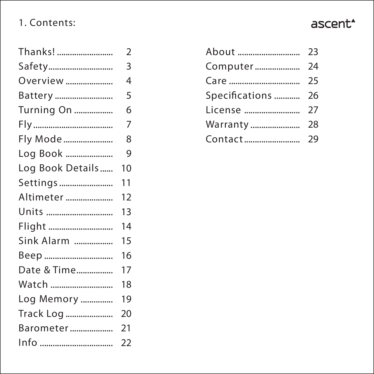# 1. Contents:

| ⊇nਾ<br>-<br>٠L<br>. . |
|-----------------------|
|-----------------------|

| Thanks!          | 2                |
|------------------|------------------|
|                  | Ē                |
| Overview         | Z                |
| Battery          | Ē                |
| Turning On       | б                |
|                  | 7                |
| Fly Mode         | ٤                |
| Log Book         | ć                |
| Log Book Details | 10               |
| Settings         | 11               |
| Altimeter        | 12               |
| Units            | 13               |
| Flight           | 14               |
| Sink Alarm       | 15               |
| Веер             | 16               |
| Date & Time      | 17               |
| Watch            | 18               |
| Log Memory       | 19               |
| Track Log        | 20               |
| Barometer        | $\overline{2}$ 1 |
| Info             | $\overline{2}$   |

| Specifications  26 |  |
|--------------------|--|
|                    |  |
|                    |  |
|                    |  |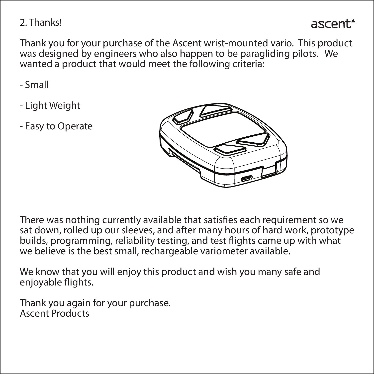## 2. Thanks!

## ascent.

Thank you for your purchase of the Ascent wrist-mounted vario. This product was designed by engineers who also happen to be paragliding pilots. We wanted a product that would meet the following criteria:

- Small

- Light Weight
- Easy to Operate



There was nothing currently available that satisfies each requirement so we sat down, rolled up our sleeves, and after many hours of hard work, prototype builds, programming, reliability testing, and test flights came up with what we believe is the best small, rechargeable variometer available.

We know that you will enjoy this product and wish you many safe and enjoyable flights.

Thank you again for your purchase. Ascent Products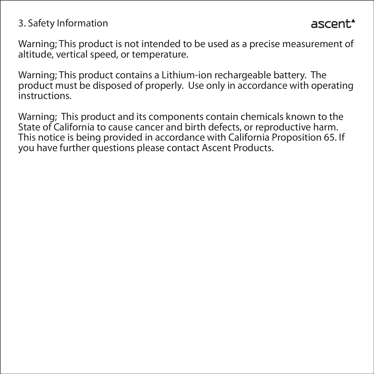## 3. Safety Information

Warning; This product is not intended to be used as a precise measurement of altitude, vertical speed, or temperature.

Warning; This product contains a Lithium-ion rechargeable battery. The product must be disposed of properly. Use only in accordance with operating instructions.

Warning; This product and its components contain chemicals known to the State of California to cause cancer and birth defects, or reproductive harm. This notice is being provided in accordance with California Proposition 65. If you have further questions please contact Ascent Products.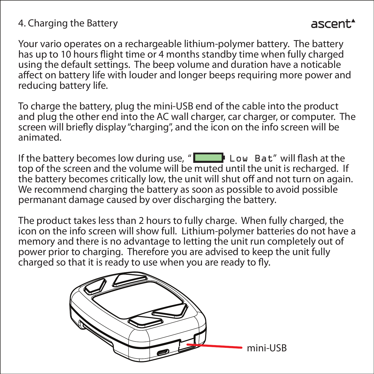## 4. Charging the Battery

Your vario operates on a rechargeable lithium-polymer battery. The battery has up to 10 hours flight time or 4 months standby time when fully charged using the default settings. The beep volume and duration have a noticable affect on battery life with louder and longer beeps requiring more power and reducing battery life.

To charge the battery, plug the mini-USB end of the cable into the product and plug the other end into the AC wall charger, car charger, or computer. The screen will briefly display "charging", and the icon on the info screen will be animated.

If the battery becomes low during use, " $\Box$  Low Bat" will flash at the top of the screen and the volume will be muted until the unit is recharged. If the battery becomes critically low, the unit will shut off and not turn on again. We recommend charging the battery as soon as possible to avoid possible permanant damage caused by over discharging the battery.

The product takes less than 2 hours to fully charge. When fully charged, the icon on the info screen will show full. Lithium-polymer batteries do not have a memory and there is no advantage to letting the unit run completely out of power prior to charging. Therefore you are advised to keep the unit fully charged so that it is ready to use when you are ready to fly.

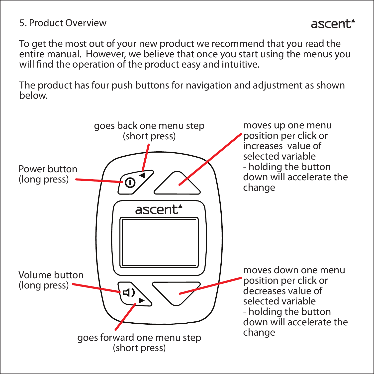## 5. Product Overview

To get the most out of your new product we recommend that you read the entire manual. However, we believe that once you start using the menus you will find the operation of the product easy and intuitive.

ascent<sup>\*</sup>

The product has four push buttons for navigation and adjustment as shown below.

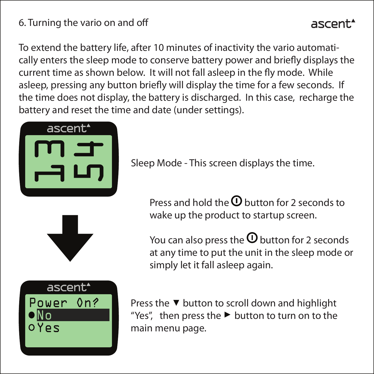## 6. Turning the vario on and o

# ascent.

To extend the battery life, after 10 minutes of inactivity the vario automatically enters the sleep mode to conserve battery power and briefly displays the current time as shown below. It will not fall asleep in the fly mode. While asleep, pressing any button briefly will display the time for a few seconds. If the time does not display, the battery is discharged. In this case, recharge the battery and reset the time and date (under settings).







Sleep Mode - This screen displays the time.

Press and hold the  $\Omega$  button for 2 seconds to wake up the product to startup screen.

You can also press the  $\Omega$  button for 2 seconds at any time to put the unit in the sleep mode or simply let it fall asleep again.

Press the  $\blacktriangledown$  button to scroll down and highlight "Yes", then press the  $\blacktriangleright$  button to turn on to the main menu page.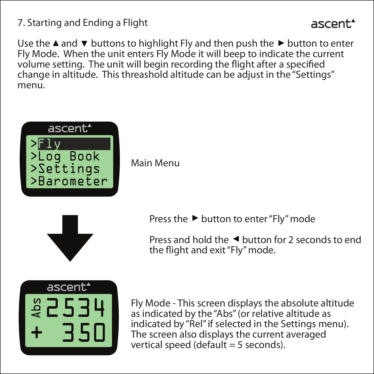7. Starting and Ending a Flight

## ascent.

Use the  $\blacktriangle$  and  $\blacktriangledown$  buttons to highlight Fly and then push the  $\blacktriangleright$  button to enter Fly Mode. When the unit enters Fly Mode it will beep to indicate the current volume setting. The unit will begin recording the flight after a specified change in altitude. This threashold altitude can be adjust in the "Settings" menu.



Main Menu



Press the  $\blacktriangleright$  button to enter "Fly" mode

Press and hold the  $\triangleleft$  button for 2 seconds to end the flight and exit "Fly" mode.



Fly Mode - This screen displays the absolute altitude as indicated by the "Abs" (or relative altitude as indicated by "Rel" if selected in the Settings menu). The screen also displays the current averaged vertical speed (default  $=$  5 seconds).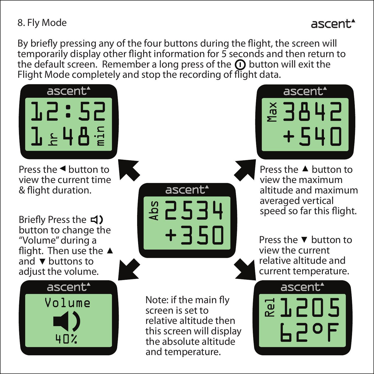## 8. Fly Mode

## ascent.

By briefly pressing any of the four buttons during the flight, the screen will temporarily display other flight information for 5 seconds and then return to the default screen. Remember a long press of the  $\Omega$  button will exit the Flight Mode completely and stop the recording of flight data.

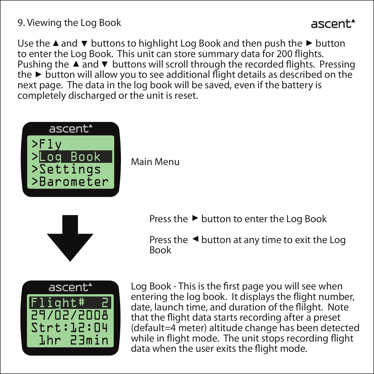9. Viewing the Log Book

## ascent.

Use the  $\triangle$  and  $\nabla$  buttons to highlight Log Book and then push the  $\triangleright$  button to enter the Log Book. This unit can store summary data for 200 flights. Pushing the  $\blacktriangle$  and  $\nabla$  buttons will scroll through the recorded flights. Pressing the  $\triangleright$  button will allow you to see additional flight details as described on the next page. The data in the log book will be saved, even if the battery is completely discharged or the unit is reset.



Main Menu



Press the  $\blacktriangleright$  button to enter the Log Book

Press the  $\triangleleft$  button at any time to exit the Log Book



Log Book - This is the first page you will see when entering the log book. It displays the flight number, date, launch time, and duration of the flilght. Note that the flight data starts recording after a preset (default=4 meter) altitude change has been detected while in flight mode. The unit stops recording flight data when the user exits the flight mode.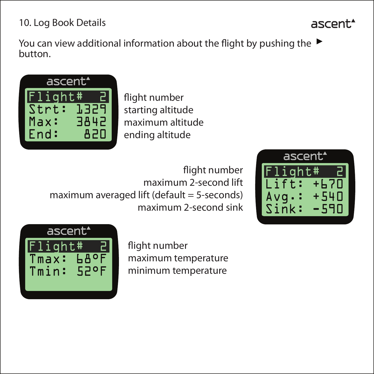10. Log Book Details

You can view additional information about the flight by pushing the  $\blacktriangleright$ button.



flight number starting altitude maximum altitude ending altitude

flight number maximum 2-second lift maximum averaged lift (default = 5-seconds) maximum 2-second sink





flight number maximum temperature minimum temperature

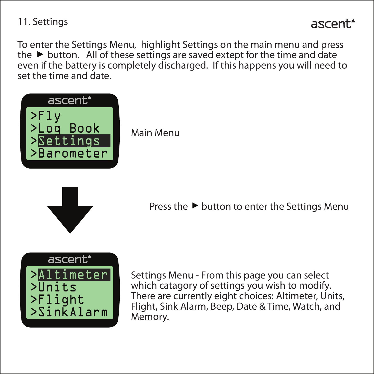11. Settings

To enter the Settings Menu, highlight Settings on the main menu and press the  $\blacktriangleright$  button. All of these settings are saved extept for the time and date even if the battery is completely discharged. If this happens you will need to set the time and date.



Main Menu



Press the  $\blacktriangleright$  button to enter the Settings Menu



Settings Menu - From this page you can select which catagory of settings you wish to modify. There are currently eight choices: Altimeter, Units, Flight, Sink Alarm, Beep, Date & Time, Watch, and Memory.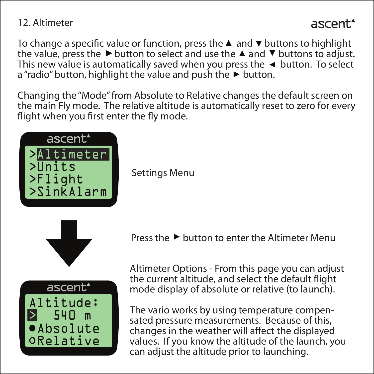## 12. Altimeter

# ascent.\*

To change a specific value or function, press the  $\blacktriangle$  and  $\nabla$  buttons to highlight the value, press the  $\blacktriangleright$  button to select and use the  $\blacktriangle$  and  $\nabla$  buttons to adjust. This new value is automatically saved when you press the  $\triangleleft$  button. To select  $a''$ radio" button, highlight the value and push the  $\blacktriangleright$  button.

Changing the "Mode" from Absolute to Relative changes the default screen on the main Fly mode. The relative altitude is automatically reset to zero for every flight when you first enter the fly mode.



Settings Menu





Press the  $\blacktriangleright$  button to enter the Altimeter Menu

Altimeter Options - From this page you can adjust the current altitude, and select the default flight mode display of absolute or relative (to launch).

The vario works by using temperature compensated pressure measurements. Because of this, changes in the weather will affect the displayed values. If you know the altitude of the launch, you can adjust the altitude prior to launching.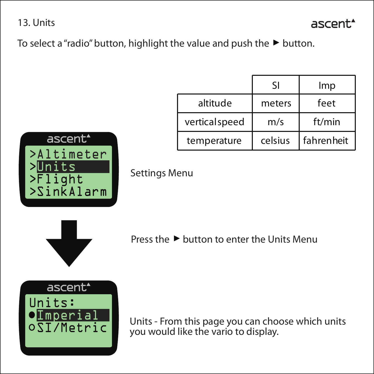13. Units

ascent.

To select a "radio" button, highlight the value and push the  $\blacktriangleright$  button.

|                | SI      | Imp        |
|----------------|---------|------------|
| altitude       | meters  | feet       |
| vertical speed | m/s     | ft/min     |
| temperature    | celsius | fahrenheit |

Settings Menu



 $t<sub>S</sub>$ >Flight >SinkAlarm

>Altimeter

ascent\*

Press the  $\blacktriangleright$  button to enter the Units Menu



Units - From this page you can choose which units you would like the vario to display.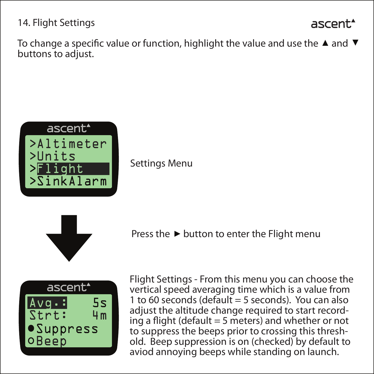14. Flight Settings

# ascent.

To change a specific value or function, highlight the value and use the  $\blacktriangle$  and  $\nabla$ buttons to adjust.



Settings Menu



Press the  $\blacktriangleright$  button to enter the Flight menu



Flight Settings - From this menu you can choose the vertical speed averaging time which is a value from 1 to 60 seconds (default  $=$  5 seconds). You can also adjust the altitude change required to start recording a flight (default  $=$  5 meters) and whether or not to suppress the beeps prior to crossing this threshold. Beep suppression is on (checked) by default to aviod annoying beeps while standing on launch.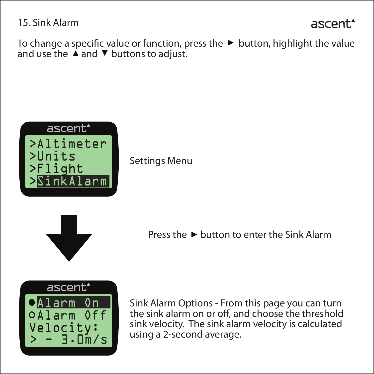15. Sink Alarm

```
ascent.
```
To change a specific value or function, press the  $\blacktriangleright$  button, highlight the value and use the  $\triangle$  and  $\nabla$  buttons to adjust.



Settings Menu



Press the  $\blacktriangleright$  button to enter the Sink Alarm



Sink Alarm Options - From this page you can turn the sink alarm on or off, and choose the threshold sink velocity. The sink alarm velocity is calculated using a 2-second average.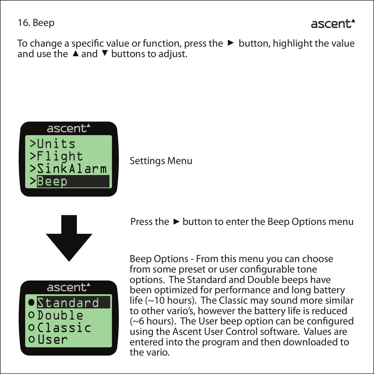16. Beep

```
ascent.*
```
To change a specific value or function, press the  $\blacktriangleright$  button, highlight the value and use the  $\triangle$  and  $\nabla$  buttons to adjust.



Settings Menu





Press the  $\blacktriangleright$  button to enter the Beep Options menu

Beep Options - From this menu you can choose from some preset or user configurable tone options. The Standard and Double beeps have been optimized for performance and long battery life (~10 hours). The Classic may sound more similar to other vario's, however the battery life is reduced  $(\sim$  6 hours). The User beep option can be configured using the Ascent User Control software. Values are entered into the program and then downloaded to the vario.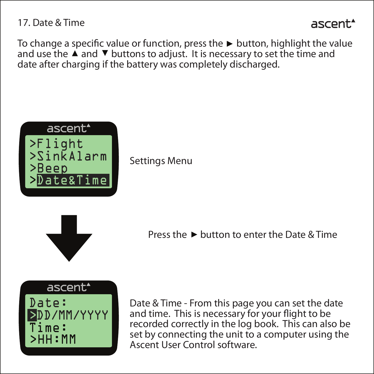#### 17. Date & Time

ascent.

To change a specific value or function, press the  $\triangleright$  button, highlight the value and use the  $\blacktriangle$  and  $\nabla$  buttons to adjust. It is necessary to set the time and date after charging if the battery was completely discharged.



Settings Menu



Press the  $\blacktriangleright$  button to enter the Date & Time





Date & Time - From this page you can set the date and time. This is necessary for your flight to be recorded correctly in the log book. This can also be set by connecting the unit to a computer using the Ascent User Control software.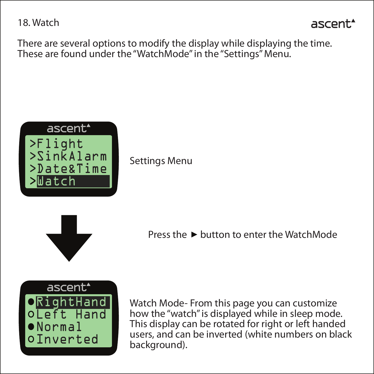18. Watch

ascent.

There are several options to modify the display while displaying the time. These are found under the "WatchMode" in the "Settings" Menu.



Settings Menu



Press the  $\blacktriangleright$  button to enter the WatchMode



Watch Mode- From this page you can customize how the "watch" is displayed while in sleep mode. This display can be rotated for right or left handed users, and can be inverted (white numbers on black background).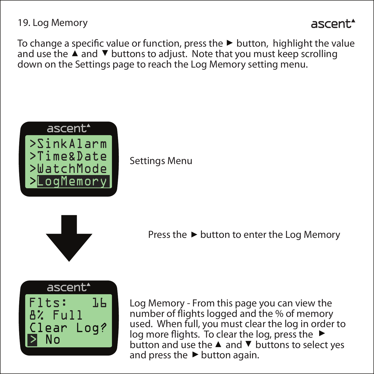19. Log Memory

## ascent.

To change a specific value or function, press the  $\blacktriangleright$  button, highlight the value and use the  $\blacktriangle$  and  $\nabla$  buttons to adjust. Note that you must keep scrolling down on the Settings page to reach the Log Memory setting menu.



Settings Menu



Press the  $\blacktriangleright$  button to enter the Log Memory



Log Memory - From this page you can view the number of flights logged and the % of memory used. When full, you must clear the log in order to  $log$  more flights. To clear the log, press the  $\blacktriangleright$ button and use the  $\blacktriangle$  and  $\nabla$  buttons to select yes and press the  $\blacktriangleright$  button again.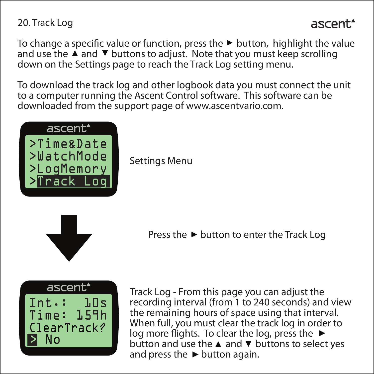20. Track Log

# ascent.

To change a specific value or function, press the  $\blacktriangleright$  button, highlight the value and use the  $\blacktriangle$  and  $\nabla$  buttons to adjust. Note that you must keep scrolling down on the Settings page to reach the Track Log setting menu.

To download the track log and other logbook data you must connect the unit to a computer running the Ascent Control software. This software can be downloaded from the support page of www.ascentvario.com.



Settings Menu



Press the  $\blacktriangleright$  button to enter the Track Log



Track Log - From this page you can adjust the recording interval (from 1 to 240 seconds) and view the remaining hours of space using that interval. When full, you must clear the track log in order to  $log$  more flights. To clear the log, press the  $\blacktriangleright$ button and use the  $\triangle$  and  $\nabla$  buttons to select yes and press the  $\blacktriangleright$  button again.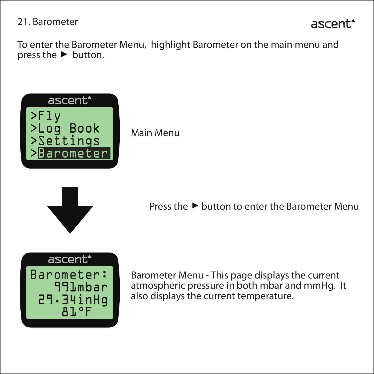#### 21. Barometer

# ascent.

To enter the Barometer Menu, highlight Barometer on the main menu and press the  $\blacktriangleright$  button.



Main Menu



Press the  $\blacktriangleright$  button to enter the Barometer Menu



Barometer Menu - This page displays the current atmospheric pressure in both mbar and mmHg. It also displays the current temperature.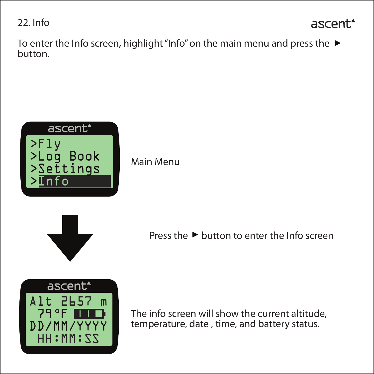22. Info

# ascent.

To enter the Info screen, highlight "Info" on the main menu and press the ▶ button.



Main Menu





Press the  $\blacktriangleright$  button to enter the Info screen

The info screen will show the current altitude, temperature, date , time, and battery status.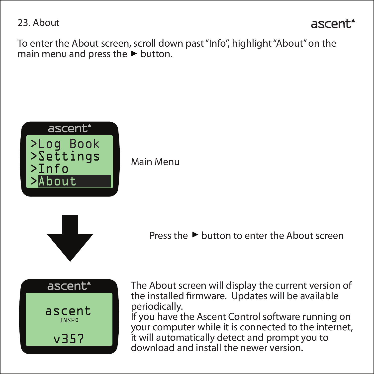23. About



To enter the About screen, scroll down past "Info", highlight "About" on the main menu and press the  $\blacktriangleright$  button.



Main Menu



Press the  $\blacktriangleright$  button to enter the About screen



The About screen will display the current version of the installed firmware. Updates will be available periodically. If you have the Ascent Control software running on

your computer while it is connected to the internet, it will automatically detect and prompt you to download and install the newer version.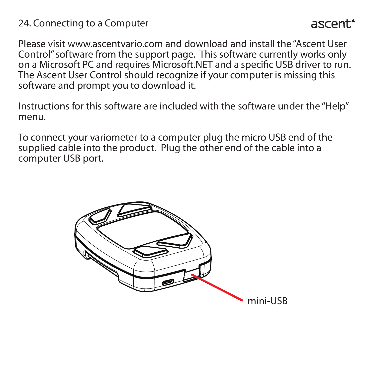#### 24. Connecting to a Computer

Please visit www.ascentvario.com and download and install the "Ascent User Control" software from the support page. This software currently works only on a Microsoft PC and requires Microsoft.NET and a specific USB driver to run. The Ascent User Control should recognize if your computer is missing this software and prompt you to download it.

Instructions for this software are included with the software under the "Help" menu.

To connect your variometer to a computer plug the micro USB end of the supplied cable into the product. Plug the other end of the cable into a computer USB port.

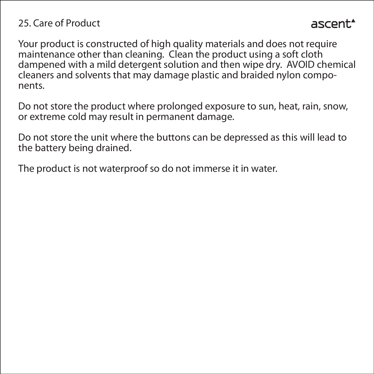## 25. Care of Product

Your product is constructed of high quality materials and does not require maintenance other than cleaning. Clean the product using a soft cloth dampened with a mild detergent solution and then wipe dry. AVOID chemical cleaners and solvents that may damage plastic and braided nylon components.

Do not store the product where prolonged exposure to sun, heat, rain, snow, or extreme cold may result in permanent damage.

Do not store the unit where the buttons can be depressed as this will lead to the battery being drained.

The product is not waterproof so do not immerse it in water.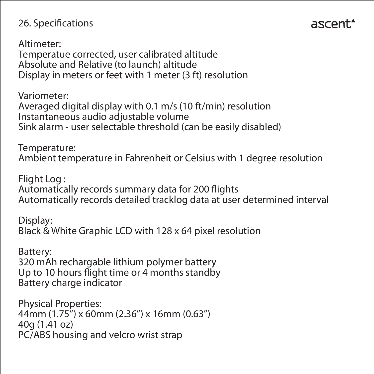## 26. Specifications

Altimeter: Temperatue corrected, user calibrated altitude Absolute and Relative (to launch) altitude Display in meters or feet with 1 meter (3 ft) resolution

Variometer: Averaged digital display with 0.1 m/s (10 ft/min) resolution Instantaneous audio adjustable volume Sink alarm - user selectable threshold (can be easily disabled)

Temperature: Ambient temperature in Fahrenheit or Celsius with 1 degree resolution

ascent.

Flight Log : Automatically records summary data for 200 flights Automatically records detailed tracklog data at user determined interval

Display: Black & White Graphic LCD with 128 x 64 pixel resolution

Battery: 320 mAh rechargable lithium polymer battery Up to 10 hours flight time or 4 months standby Battery charge indicator

Physical Properties: 44mm (1.75") x 60mm (2.36") x 16mm (0.63") 40g (1.41 oz) PC/ABS housing and velcro wrist strap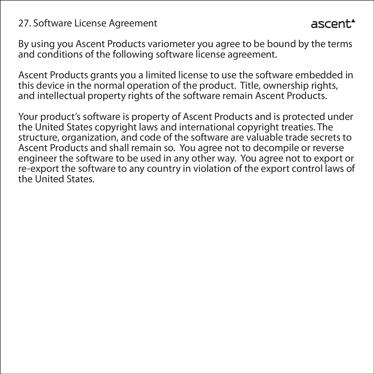#### 27. Software License Agreement

ascent.

By using you Ascent Products variometer you agree to be bound by the terms and conditions of the following software license agreement.

Ascent Products grants you a limited license to use the software embedded in this device in the normal operation of the product. Title, ownership rights, and intellectual property rights of the software remain Ascent Products.

Your product's software is property of Ascent Products and is protected under the United States copyright laws and international copyright treaties. The structure, organization, and code of the software are valuable trade secrets to Ascent Products and shall remain so. You agree not to decompile or reverse engineer the software to be used in any other way. You agree not to export or re-export the software to any country in violation of the export control laws of the United States.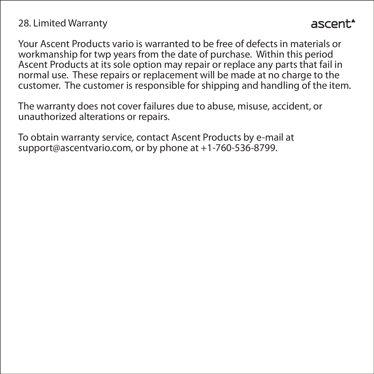#### 28. Limited Warranty

Your Ascent Products vario is warranted to be free of defects in materials or workmanship for twp years from the date of purchase. Within this period Ascent Products at its sole option may repair or replace any parts that fail in normal use. These repairs or replacement will be made at no charge to the customer. The customer is responsible for shipping and handling of the item.

The warranty does not cover failures due to abuse, misuse, accident, or unauthorized alterations or repairs.

To obtain warranty service, contact Ascent Products by e-mail at support@ascentvario.com, or by phone at +1-760-536-8799.